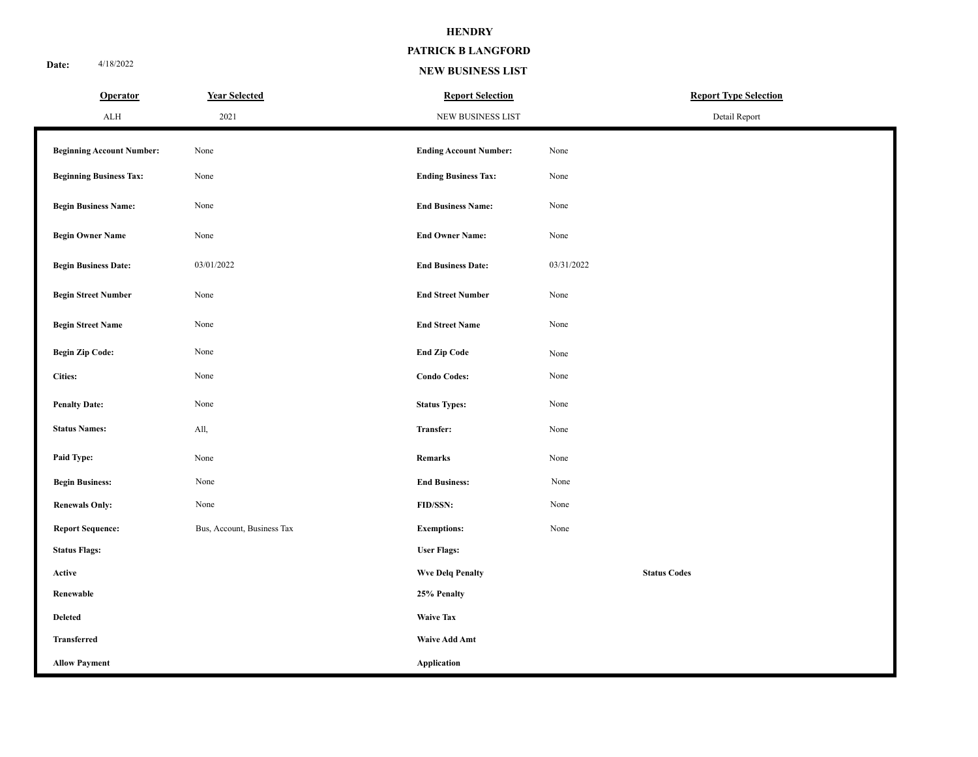**PATRICK B LANGFORD**

**Date:** 4/18/2022

#### **NEW BUSINESS LIST**

| <b>Operator</b>                  | <b>Year Selected</b>       | <b>Report Selection</b>       | <b>Report Type Selection</b> |
|----------------------------------|----------------------------|-------------------------------|------------------------------|
| ${\rm ALH}$                      | 2021                       | NEW BUSINESS LIST             | Detail Report                |
| <b>Beginning Account Number:</b> | None                       | <b>Ending Account Number:</b> | None                         |
| <b>Beginning Business Tax:</b>   | None                       | <b>Ending Business Tax:</b>   | None                         |
| <b>Begin Business Name:</b>      | None                       | <b>End Business Name:</b>     | None                         |
| <b>Begin Owner Name</b>          | None                       | <b>End Owner Name:</b>        | None                         |
| <b>Begin Business Date:</b>      | 03/01/2022                 | <b>End Business Date:</b>     | 03/31/2022                   |
| <b>Begin Street Number</b>       | None                       | <b>End Street Number</b>      | None                         |
| <b>Begin Street Name</b>         | None                       | <b>End Street Name</b>        | None                         |
| <b>Begin Zip Code:</b>           | None                       | <b>End Zip Code</b>           | None                         |
| <b>Cities:</b>                   | None                       | <b>Condo Codes:</b>           | None                         |
| <b>Penalty Date:</b>             | None                       | <b>Status Types:</b>          | None                         |
| <b>Status Names:</b>             | All,                       | Transfer:                     | None                         |
| Paid Type:                       | None                       | <b>Remarks</b>                | None                         |
| <b>Begin Business:</b>           | None                       | <b>End Business:</b>          | None                         |
| <b>Renewals Only:</b>            | None                       | FID/SSN:                      | None                         |
| <b>Report Sequence:</b>          | Bus, Account, Business Tax | <b>Exemptions:</b>            | None                         |
| <b>Status Flags:</b>             |                            | <b>User Flags:</b>            |                              |
| Active                           |                            | <b>Wve Delq Penalty</b>       | <b>Status Codes</b>          |
| Renewable                        |                            | 25% Penalty                   |                              |
| <b>Deleted</b>                   |                            | <b>Waive Tax</b>              |                              |
| Transferred                      |                            | <b>Waive Add Amt</b>          |                              |
| <b>Allow Payment</b>             |                            | <b>Application</b>            |                              |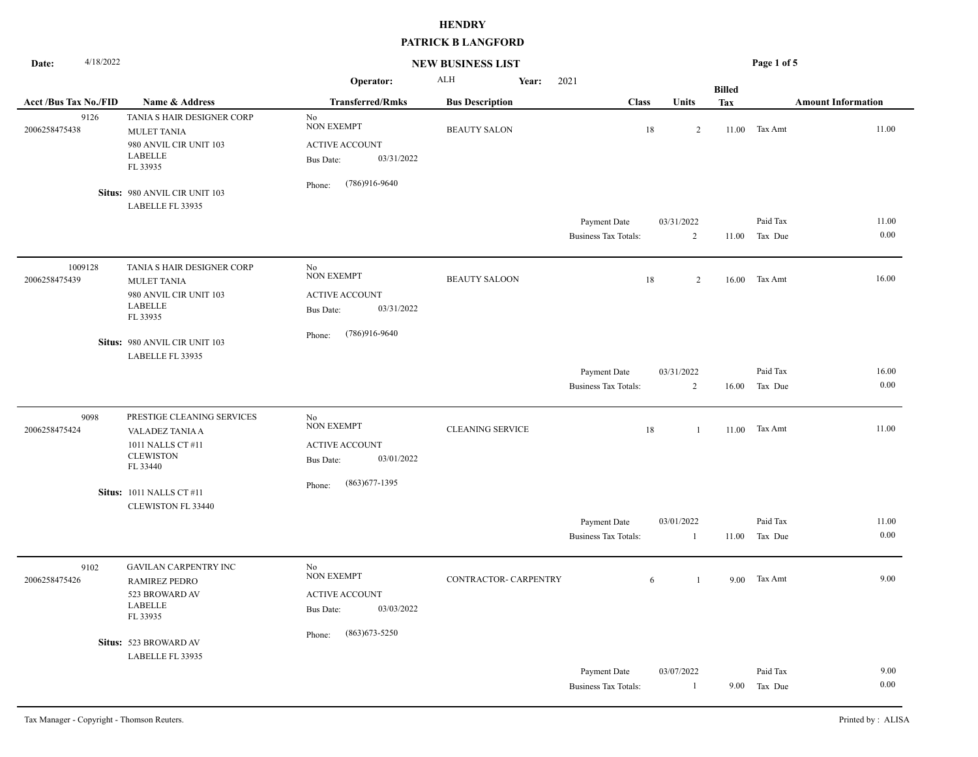| 4/18/2022<br>Date:           |                                                                                                          |                                                                                    | <b>NEW BUSINESS LIST</b> |                                             |                              |               | Page 1 of 5                                |
|------------------------------|----------------------------------------------------------------------------------------------------------|------------------------------------------------------------------------------------|--------------------------|---------------------------------------------|------------------------------|---------------|--------------------------------------------|
|                              |                                                                                                          | Operator:                                                                          | <b>ALH</b><br>Year:      | 2021                                        |                              | <b>Billed</b> |                                            |
| <b>Acct /Bus Tax No./FID</b> | Name & Address                                                                                           | <b>Transferred/Rmks</b>                                                            | <b>Bus Description</b>   | <b>Class</b>                                | <b>Units</b>                 | Tax           | <b>Amount Information</b>                  |
| 9126<br>2006258475438        | TANIA S HAIR DESIGNER CORP<br><b>MULET TANIA</b><br>980 ANVIL CIR UNIT 103<br><b>LABELLE</b><br>FL 33935 | No<br>NON EXEMPT<br><b>ACTIVE ACCOUNT</b><br>03/31/2022<br><b>Bus Date:</b>        | <b>BEAUTY SALON</b>      | $18\,$                                      | 2                            | 11.00         | 11.00<br>Tax Amt                           |
|                              | Situs: 980 ANVIL CIR UNIT 103<br>LABELLE FL 33935                                                        | (786)916-9640<br>Phone:                                                            |                          |                                             |                              |               |                                            |
|                              |                                                                                                          |                                                                                    |                          | Payment Date<br><b>Business Tax Totals:</b> | 03/31/2022<br>$\overline{2}$ |               | Paid Tax<br>11.00<br>0.00<br>11.00 Tax Due |
| 1009128<br>2006258475439     | TANIA S HAIR DESIGNER CORP<br><b>MULET TANIA</b><br>980 ANVIL CIR UNIT 103<br><b>LABELLE</b><br>FL 33935 | No<br><b>NON EXEMPT</b><br><b>ACTIVE ACCOUNT</b><br>03/31/2022<br><b>Bus Date:</b> | <b>BEAUTY SALOON</b>     | 18                                          | 2                            | 16.00         | 16.00<br>Tax Amt                           |
|                              | Situs: 980 ANVIL CIR UNIT 103<br>LABELLE FL 33935                                                        | $(786)916-9640$<br>Phone:                                                          |                          |                                             |                              |               |                                            |
|                              |                                                                                                          |                                                                                    |                          | Payment Date                                | 03/31/2022                   |               | 16.00<br>Paid Tax                          |
|                              |                                                                                                          |                                                                                    |                          | <b>Business Tax Totals:</b>                 | 2                            | 16.00         | 0.00<br>Tax Due                            |
| 9098<br>2006258475424        | PRESTIGE CLEANING SERVICES<br>VALADEZ TANIA A<br>1011 NALLS CT #11<br><b>CLEWISTON</b><br>FL 33440       | No<br><b>NON EXEMPT</b><br><b>ACTIVE ACCOUNT</b><br>03/01/2022<br><b>Bus Date:</b> | <b>CLEANING SERVICE</b>  | 18                                          | 1                            | 11.00         | 11.00<br>Tax Amt                           |
|                              | <b>Situs: 1011 NALLS CT #11</b><br><b>CLEWISTON FL 33440</b>                                             | $(863)677 - 1395$<br>Phone:                                                        |                          |                                             |                              |               |                                            |
|                              |                                                                                                          |                                                                                    |                          | Payment Date<br><b>Business Tax Totals:</b> | 03/01/2022<br>-1             | 11.00         | Paid Tax<br>11.00<br>0.00<br>Tax Due       |
| 9102<br>2006258475426        | <b>GAVILAN CARPENTRY INC</b><br><b>RAMIREZ PEDRO</b><br>523 BROWARD AV<br><b>LABELLE</b><br>FL 33935     | No<br><b>NON EXEMPT</b><br><b>ACTIVE ACCOUNT</b><br>03/03/2022<br><b>Bus Date:</b> | CONTRACTOR- CARPENTRY    | 6                                           | $\overline{1}$               |               | $9.00$ Tax Amt<br>9.00                     |
|                              | Situs: 523 BROWARD AV<br>LABELLE FL 33935                                                                | $(863)673 - 5250$<br>Phone:                                                        |                          |                                             |                              |               |                                            |
|                              |                                                                                                          |                                                                                    |                          | Payment Date<br><b>Business Tax Totals:</b> | 03/07/2022<br>$\mathbf{1}$   |               | 9.00<br>Paid Tax<br>0.00<br>9.00 Tax Due   |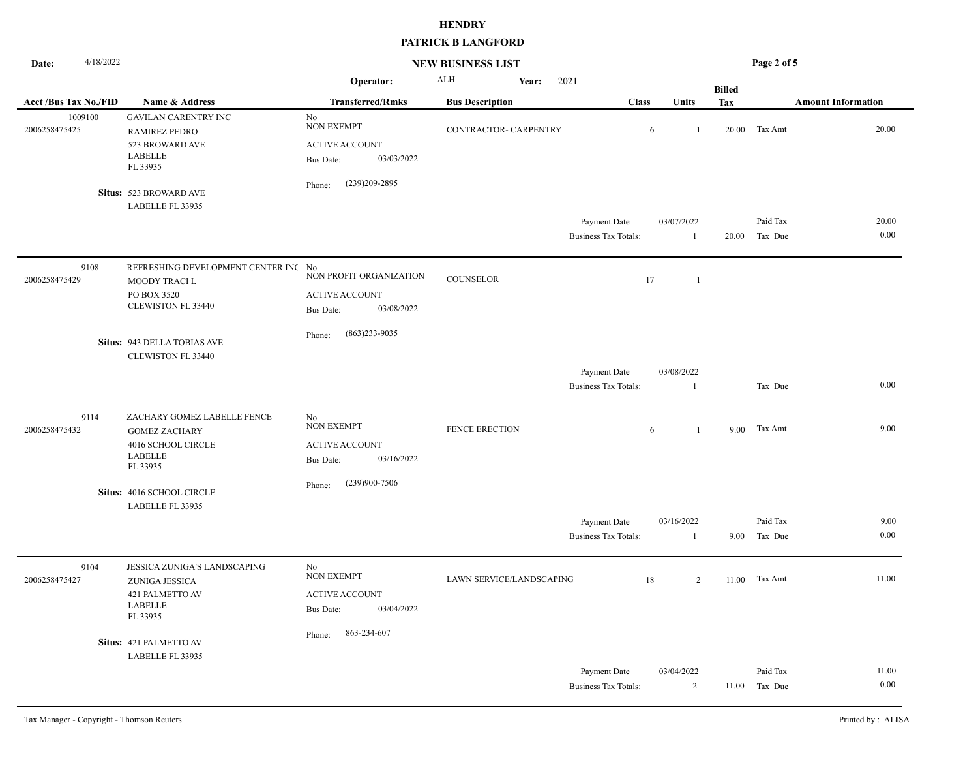| 4/18/2022<br>Date:          |                                                                                                         | <b>NEW BUSINESS LIST</b>                                                           |                          |                                             | Page 2 of 5                  |               |                                      |  |
|-----------------------------|---------------------------------------------------------------------------------------------------------|------------------------------------------------------------------------------------|--------------------------|---------------------------------------------|------------------------------|---------------|--------------------------------------|--|
|                             |                                                                                                         | Operator:                                                                          | <b>ALH</b><br>Year:      | 2021                                        |                              | <b>Billed</b> |                                      |  |
| <b>Acct/Bus Tax No./FID</b> | Name & Address                                                                                          | <b>Transferred/Rmks</b>                                                            | <b>Bus Description</b>   | <b>Class</b>                                | Units                        | <b>Tax</b>    | <b>Amount Information</b>            |  |
| 1009100<br>2006258475425    | <b>GAVILAN CARENTRY INC</b><br><b>RAMIREZ PEDRO</b><br>523 BROWARD AVE<br><b>LABELLE</b><br>FL 33935    | $\rm No$<br><b>NON EXEMPT</b><br><b>ACTIVE ACCOUNT</b><br>03/03/2022<br>Bus Date:  | CONTRACTOR- CARPENTRY    |                                             | 6<br>-1                      | 20.00         | 20.00<br>Tax Amt                     |  |
|                             | Situs: 523 BROWARD AVE<br>LABELLE FL 33935                                                              | (239)209-2895<br>Phone:                                                            |                          |                                             |                              |               |                                      |  |
|                             |                                                                                                         |                                                                                    |                          | Payment Date<br><b>Business Tax Totals:</b> | 03/07/2022<br>$\mathbf{1}$   | 20.00         | 20.00<br>Paid Tax<br>0.00<br>Tax Due |  |
| 9108<br>2006258475429       | REFRESHING DEVELOPMENT CENTER INC No<br>MOODY TRACI L<br>PO BOX 3520<br>CLEWISTON FL 33440              | NON PROFIT ORGANIZATION<br><b>ACTIVE ACCOUNT</b><br>03/08/2022<br><b>Bus Date:</b> | <b>COUNSELOR</b>         |                                             | 17<br>$\mathbf{1}$           |               |                                      |  |
|                             | Situs: 943 DELLA TOBIAS AVE<br>CLEWISTON FL 33440                                                       | $(863)233 - 9035$<br>Phone:                                                        |                          |                                             |                              |               |                                      |  |
|                             |                                                                                                         |                                                                                    |                          | Payment Date<br><b>Business Tax Totals:</b> | 03/08/2022<br>$\mathbf{1}$   |               | 0.00<br>Tax Due                      |  |
| 9114<br>2006258475432       | ZACHARY GOMEZ LABELLE FENCE<br><b>GOMEZ ZACHARY</b><br>4016 SCHOOL CIRCLE<br><b>LABELLE</b><br>FL 33935 | No<br><b>NON EXEMPT</b><br><b>ACTIVE ACCOUNT</b><br>03/16/2022<br><b>Bus Date:</b> | FENCE ERECTION           |                                             | 6<br>$\mathbf{1}$            | 9.00          | 9.00<br>Tax Amt                      |  |
|                             | Situs: 4016 SCHOOL CIRCLE<br>LABELLE FL 33935                                                           | (239)900-7506<br>Phone:                                                            |                          |                                             |                              |               |                                      |  |
|                             |                                                                                                         |                                                                                    |                          | Payment Date<br><b>Business Tax Totals:</b> | 03/16/2022<br>$\mathbf{1}$   | 9.00          | Paid Tax<br>9.00<br>0.00<br>Tax Due  |  |
| 9104<br>2006258475427       | JESSICA ZUNIGA'S LANDSCAPING<br>ZUNIGA JESSICA<br>421 PALMETTO AV<br><b>LABELLE</b><br>FL 33935         | No<br><b>NON EXEMPT</b><br><b>ACTIVE ACCOUNT</b><br>03/04/2022<br><b>Bus Date:</b> | LAWN SERVICE/LANDSCAPING |                                             | 18<br>2                      | 11.00         | 11.00<br>Tax Amt                     |  |
|                             | Situs: 421 PALMETTO AV<br>LABELLE FL 33935                                                              | 863-234-607<br>Phone:                                                              |                          |                                             |                              |               |                                      |  |
|                             |                                                                                                         |                                                                                    |                          | Payment Date<br><b>Business Tax Totals:</b> | 03/04/2022<br>$\overline{2}$ | 11.00         | 11.00<br>Paid Tax<br>0.00<br>Tax Due |  |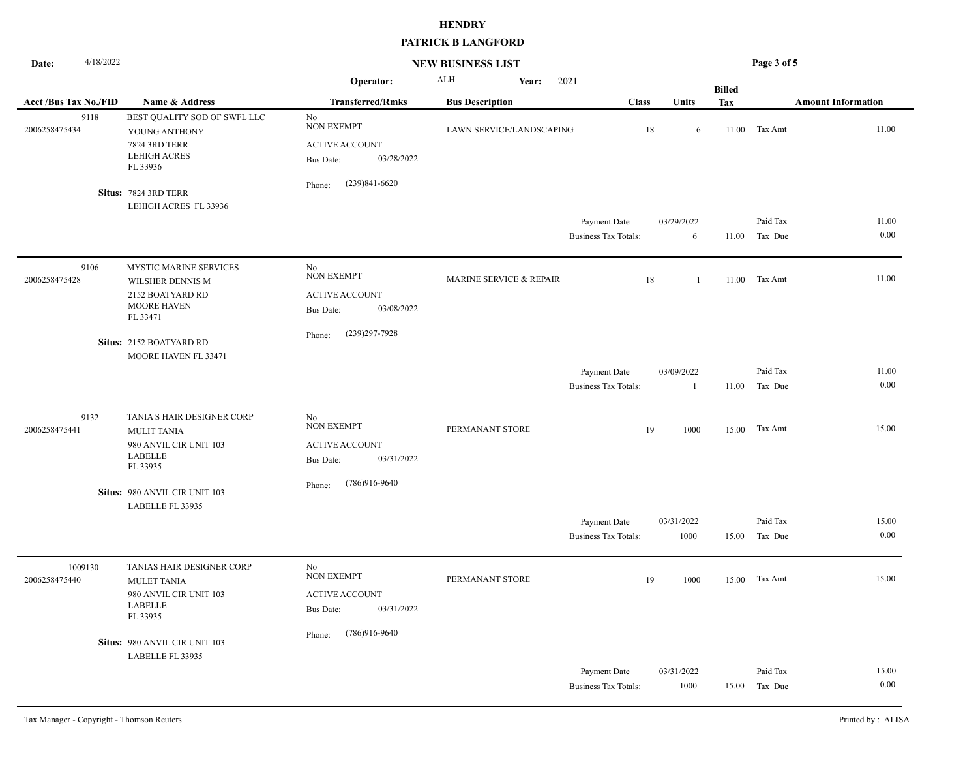| 4/18/2022<br>Date:           |                                                                                                          | <b>NEW BUSINESS LIST</b>                                                           |                          |       | Page 3 of 5                                 |                      |               |                     |                           |
|------------------------------|----------------------------------------------------------------------------------------------------------|------------------------------------------------------------------------------------|--------------------------|-------|---------------------------------------------|----------------------|---------------|---------------------|---------------------------|
|                              |                                                                                                          | Operator:                                                                          | ALH                      | Year: | 2021                                        |                      | <b>Billed</b> |                     |                           |
| <b>Acct /Bus Tax No./FID</b> | Name & Address                                                                                           | <b>Transferred/Rmks</b>                                                            | <b>Bus Description</b>   |       | <b>Class</b>                                | Units                | Tax           |                     | <b>Amount Information</b> |
| 9118<br>2006258475434        | BEST QUALITY SOD OF SWFL LLC<br>YOUNG ANTHONY<br><b>7824 3RD TERR</b><br><b>LEHIGH ACRES</b><br>FL 33936 | No<br><b>NON EXEMPT</b><br><b>ACTIVE ACCOUNT</b><br>03/28/2022<br><b>Bus Date:</b> | LAWN SERVICE/LANDSCAPING |       |                                             | 18<br>6              | 11.00         | Tax Amt             | 11.00                     |
|                              | Situs: 7824 3RD TERR                                                                                     | $(239)841 - 6620$<br>Phone:                                                        |                          |       |                                             |                      |               |                     |                           |
|                              | LEHIGH ACRES FL 33936                                                                                    |                                                                                    |                          |       | Payment Date<br><b>Business Tax Totals:</b> | 03/29/2022<br>6      | 11.00         | Paid Tax<br>Tax Due | 11.00<br>0.00             |
| 9106<br>2006258475428        | MYSTIC MARINE SERVICES<br>WILSHER DENNIS M<br>2152 BOATYARD RD<br><b>MOORE HAVEN</b><br>FL 33471         | No<br><b>NON EXEMPT</b><br><b>ACTIVE ACCOUNT</b><br>03/08/2022<br><b>Bus Date:</b> | MARINE SERVICE & REPAIR  |       |                                             | 18<br>$\overline{1}$ | 11.00         | Tax Amt             | 11.00                     |
|                              | Situs: 2152 BOATYARD RD<br>MOORE HAVEN FL 33471                                                          | $(239)297 - 7928$<br>Phone:                                                        |                          |       |                                             |                      |               |                     |                           |
|                              |                                                                                                          |                                                                                    |                          |       | Payment Date                                | 03/09/2022           |               | Paid Tax            | 11.00                     |
|                              |                                                                                                          |                                                                                    |                          |       | <b>Business Tax Totals:</b>                 | $\mathbf{1}$         | 11.00         | Tax Due             | 0.00                      |
| 9132<br>2006258475441        | TANIA S HAIR DESIGNER CORP<br><b>MULIT TANIA</b><br>980 ANVIL CIR UNIT 103<br>LABELLE<br>FL 33935        | No<br><b>NON EXEMPT</b><br><b>ACTIVE ACCOUNT</b><br>03/31/2022<br><b>Bus Date:</b> | PERMANANT STORE          |       |                                             | 19<br>1000           | 15.00         | Tax Amt             | 15.00                     |
|                              | Situs: 980 ANVIL CIR UNIT 103                                                                            | $(786)916-9640$<br>Phone:                                                          |                          |       |                                             |                      |               |                     |                           |
|                              | LABELLE FL 33935                                                                                         |                                                                                    |                          |       |                                             |                      |               |                     |                           |
|                              |                                                                                                          |                                                                                    |                          |       | Payment Date<br><b>Business Tax Totals:</b> | 03/31/2022<br>1000   | 15.00         | Paid Tax<br>Tax Due | 15.00<br>0.00             |
| 1009130<br>2006258475440     | TANIAS HAIR DESIGNER CORP<br><b>MULET TANIA</b><br>980 ANVIL CIR UNIT 103<br><b>LABELLE</b><br>FL 33935  | No<br><b>NON EXEMPT</b><br><b>ACTIVE ACCOUNT</b><br>03/31/2022<br><b>Bus Date:</b> | PERMANANT STORE          |       |                                             | 19<br>1000           |               | 15.00 Tax Amt       | 15.00                     |
|                              | Situs: 980 ANVIL CIR UNIT 103<br>LABELLE FL 33935                                                        | $(786)916-9640$<br>Phone:                                                          |                          |       |                                             |                      |               |                     |                           |
|                              |                                                                                                          |                                                                                    |                          |       | Payment Date<br><b>Business Tax Totals:</b> | 03/31/2022<br>1000   | 15.00         | Paid Tax<br>Tax Due | 15.00<br>0.00             |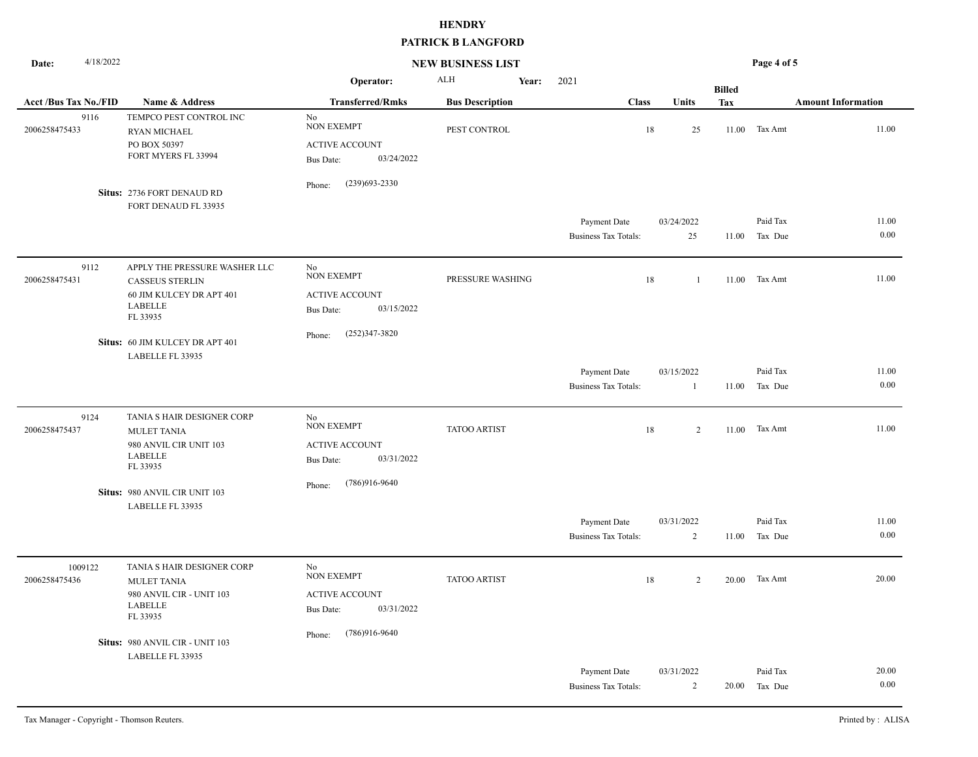| 4/18/2022<br>Date:          |                                                                                                                   | <b>NEW BUSINESS LIST</b>                                                           |                        | Page 4 of 5                                 |                            |               |                                      |
|-----------------------------|-------------------------------------------------------------------------------------------------------------------|------------------------------------------------------------------------------------|------------------------|---------------------------------------------|----------------------------|---------------|--------------------------------------|
|                             |                                                                                                                   | Operator:                                                                          | ALH                    | 2021<br>Year:                               |                            | <b>Billed</b> |                                      |
| <b>Acct/Bus Tax No./FID</b> | Name & Address                                                                                                    | <b>Transferred/Rmks</b>                                                            | <b>Bus Description</b> | <b>Class</b>                                | Units                      | Tax           | <b>Amount Information</b>            |
| 9116<br>2006258475433       | TEMPCO PEST CONTROL INC<br><b>RYAN MICHAEL</b><br>PO BOX 50397<br>FORT MYERS FL 33994                             | No<br><b>NON EXEMPT</b><br><b>ACTIVE ACCOUNT</b><br>03/24/2022<br>Bus Date:        | PEST CONTROL           |                                             | 18<br>25                   | 11.00         | 11.00<br>Tax Amt                     |
|                             | Situs: 2736 FORT DENAUD RD<br>FORT DENAUD FL 33935                                                                | $(239)693 - 2330$<br>Phone:                                                        |                        |                                             |                            |               |                                      |
|                             |                                                                                                                   |                                                                                    |                        | Payment Date<br><b>Business Tax Totals:</b> | 03/24/2022<br>25           | 11.00         | Paid Tax<br>11.00<br>0.00<br>Tax Due |
| 9112<br>2006258475431       | APPLY THE PRESSURE WASHER LLC<br><b>CASSEUS STERLIN</b><br>60 JIM KULCEY DR APT 401<br><b>LABELLE</b><br>FL 33935 | No<br><b>NON EXEMPT</b><br><b>ACTIVE ACCOUNT</b><br>03/15/2022<br><b>Bus Date:</b> | PRESSURE WASHING       |                                             | 18<br>-1                   | 11.00         | 11.00<br>Tax Amt                     |
|                             | Situs: 60 JIM KULCEY DR APT 401<br>LABELLE FL 33935                                                               | $(252)347 - 3820$<br>Phone:                                                        |                        |                                             |                            |               |                                      |
|                             |                                                                                                                   |                                                                                    |                        | Payment Date<br><b>Business Tax Totals:</b> | 03/15/2022<br>$\mathbf{1}$ | 11.00         | Paid Tax<br>11.00<br>0.00<br>Tax Due |
| 9124<br>2006258475437       | TANIA S HAIR DESIGNER CORP<br><b>MULET TANIA</b><br>980 ANVIL CIR UNIT 103<br><b>LABELLE</b><br>FL 33935          | No<br><b>NON EXEMPT</b><br><b>ACTIVE ACCOUNT</b><br>03/31/2022<br><b>Bus Date:</b> | <b>TATOO ARTIST</b>    |                                             | 18<br>2                    | 11.00         | 11.00<br>Tax Amt                     |
|                             | Situs: 980 ANVIL CIR UNIT 103<br>LABELLE FL 33935                                                                 | $(786)916-9640$<br>Phone:                                                          |                        |                                             |                            |               |                                      |
|                             |                                                                                                                   |                                                                                    |                        | Payment Date<br><b>Business Tax Totals:</b> | 03/31/2022<br>2            | 11.00         | Paid Tax<br>11.00<br>0.00<br>Tax Due |
| 1009122<br>2006258475436    | TANIA S HAIR DESIGNER CORP<br><b>MULET TANIA</b><br>980 ANVIL CIR - UNIT 103<br><b>LABELLE</b><br>FL 33935        | No<br><b>NON EXEMPT</b><br><b>ACTIVE ACCOUNT</b><br>03/31/2022<br><b>Bus Date:</b> | <b>TATOO ARTIST</b>    |                                             | 18<br>2                    | 20.00         | 20.00<br>Tax Amt                     |
|                             | Situs: 980 ANVIL CIR - UNIT 103<br>LABELLE FL 33935                                                               | $(786)916-9640$<br>Phone:                                                          |                        |                                             |                            |               |                                      |
|                             |                                                                                                                   |                                                                                    |                        | Payment Date<br><b>Business Tax Totals:</b> | 03/31/2022<br>2            | 20.00         | Paid Tax<br>20.00<br>0.00<br>Tax Due |